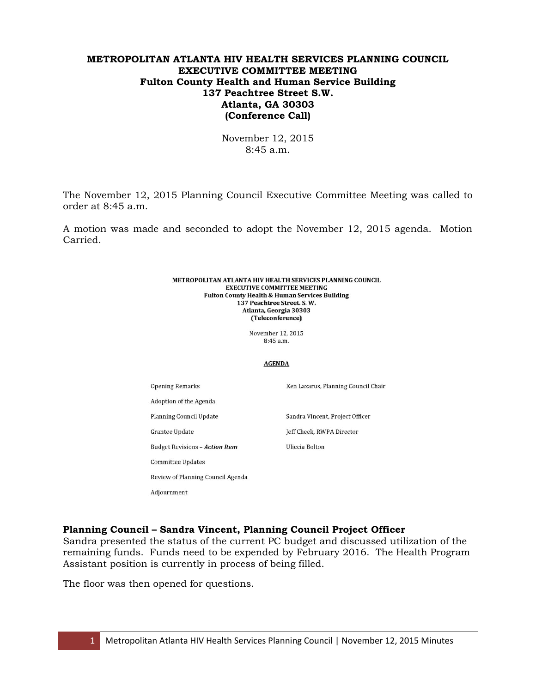# **METROPOLITAN ATLANTA HIV HEALTH SERVICES PLANNING COUNCIL EXECUTIVE COMMITTEE MEETING Fulton County Health and Human Service Building 137 Peachtree Street S.W. Atlanta, GA 30303 (Conference Call)**

November 12, 2015 8:45 a.m.

The November 12, 2015 Planning Council Executive Committee Meeting was called to order at 8:45 a.m.

A motion was made and seconded to adopt the November 12, 2015 agenda. Motion Carried.

#### METROPOLITAN ATLANTA HIV HEALTH SERVICES PLANNING COUNCIL **EXECUTIVE COMMITTEE MEETING Fulton County Health & Human Services Building** 137 Peachtree Street. S.W. Atlanta, Georgia 30303 (Teleconference)

November 12, 2015  $8.45$  a m

#### **AGENDA**

| <b>Opening Remarks</b>                | Ken Lazarus, Planning Council Chair |
|---------------------------------------|-------------------------------------|
| Adoption of the Agenda                |                                     |
| Planning Council Update               | Sandra Vincent, Project Officer     |
| <b>Grantee Update</b>                 | Jeff Cheek, RWPA Director           |
| <b>Budget Revisions - Action Item</b> | Uliecia Bolton                      |
| Committee Updates                     |                                     |
| Review of Planning Council Agenda     |                                     |

**Planning Council – Sandra Vincent, Planning Council Project Officer** 

Sandra presented the status of the current PC budget and discussed utilization of the remaining funds. Funds need to be expended by February 2016. The Health Program Assistant position is currently in process of being filled.

The floor was then opened for questions.

Adjournment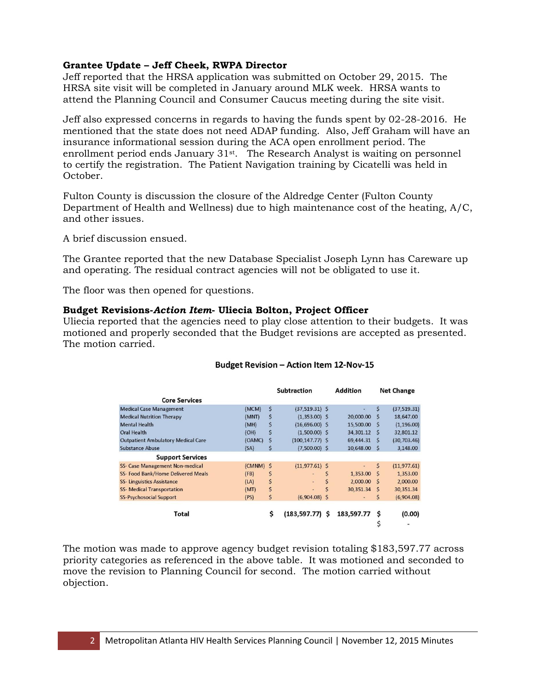# **Grantee Update – Jeff Cheek, RWPA Director**

Jeff reported that the HRSA application was submitted on October 29, 2015. The HRSA site visit will be completed in January around MLK week. HRSA wants to attend the Planning Council and Consumer Caucus meeting during the site visit.

Jeff also expressed concerns in regards to having the funds spent by 02-28-2016. He mentioned that the state does not need ADAP funding. Also, Jeff Graham will have an insurance informational session during the ACA open enrollment period. The enrollment period ends January 31<sup>st</sup>. The Research Analyst is waiting on personnel to certify the registration. The Patient Navigation training by Cicatelli was held in October.

Fulton County is discussion the closure of the Aldredge Center (Fulton County Department of Health and Wellness) due to high maintenance cost of the heating, A/C, and other issues.

A brief discussion ensued.

The Grantee reported that the new Database Specialist Joseph Lynn has Careware up and operating. The residual contract agencies will not be obligated to use it.

The floor was then opened for questions.

# **Budget Revisions-***Action Item***- Uliecia Bolton, Project Officer**

Uliecia reported that the agencies need to play close attention to their budgets. It was motioned and properly seconded that the Budget revisions are accepted as presented. The motion carried.

|                                           |        | <b>Subtraction</b> |                          |    | <b>Addition</b> | <b>Net Change</b> |               |
|-------------------------------------------|--------|--------------------|--------------------------|----|-----------------|-------------------|---------------|
| <b>Core Services</b>                      |        |                    |                          |    |                 |                   |               |
| <b>Medical Case Management</b>            | (MCM)  | \$                 | $(37, 519.31)$ \$        |    |                 | \$                | (37, 519, 31) |
| <b>Medical Nutrition Therapy</b>          | (MNT)  | \$                 | $(1,353.00)$ \$          |    | 20,000.00       | S                 | 18,647.00     |
| <b>Mental Health</b>                      | (MH)   | S                  | $(16,696.00)$ \$         |    | 15,500.00       | <b>S</b>          | (1, 196.00)   |
| <b>Oral Health</b>                        | (OH)   |                    | $(1,500.00)$ \$          |    | 34,301.12       | <sub>S</sub>      | 32,801.12     |
| <b>Outpatient Ambulatory Medical Care</b> | (OAMC) | S                  | $(100, 147.77)$ \$       |    | 69,444.31       | S                 | (30, 703, 46) |
| <b>Substance Abuse</b>                    | (SA)   | Ś                  | $(7,500.00)$ \$          |    | 10,648.00       | -Ś                | 3,148.00      |
| <b>Support Services</b>                   |        |                    |                          |    |                 |                   |               |
| SS- Case Management Non-medical           | (CMNM) | <sub>S</sub>       | $(11, 977.61)$ \$        |    | ٠               | \$                | (11, 977, 61) |
| SS- Food Bank/Home Delivered Meals        | (FB)   | \$                 |                          | \$ | 1,353.00        | -S                | 1,353.00      |
| <b>SS- Linguistics Assistance</b>         | (LA)   | \$                 | $\overline{\phantom{a}}$ |    | 2,000.00        | -S                | 2,000.00      |
| <b>SS-</b> Medical Transportation         | (MT)   | \$                 | ÷.                       | Ś  | 30,351.34       | <sub>S</sub>      | 30,351.34     |
| <b>SS-Psychosocial Support</b>            | (PS)   | \$                 | $(6,904.08)$ \$          |    | $\blacksquare$  | \$                | (6,904.08)    |
| Total                                     |        | \$                 | $(183, 597.77)$ \$       |    | 183,597.77      | S                 | (0.00)        |

#### Budget Revision - Action Item 12-Nov-15

The motion was made to approve agency budget revision totaling \$183,597.77 across priority categories as referenced in the above table. It was motioned and seconded to move the revision to Planning Council for second. The motion carried without objection.